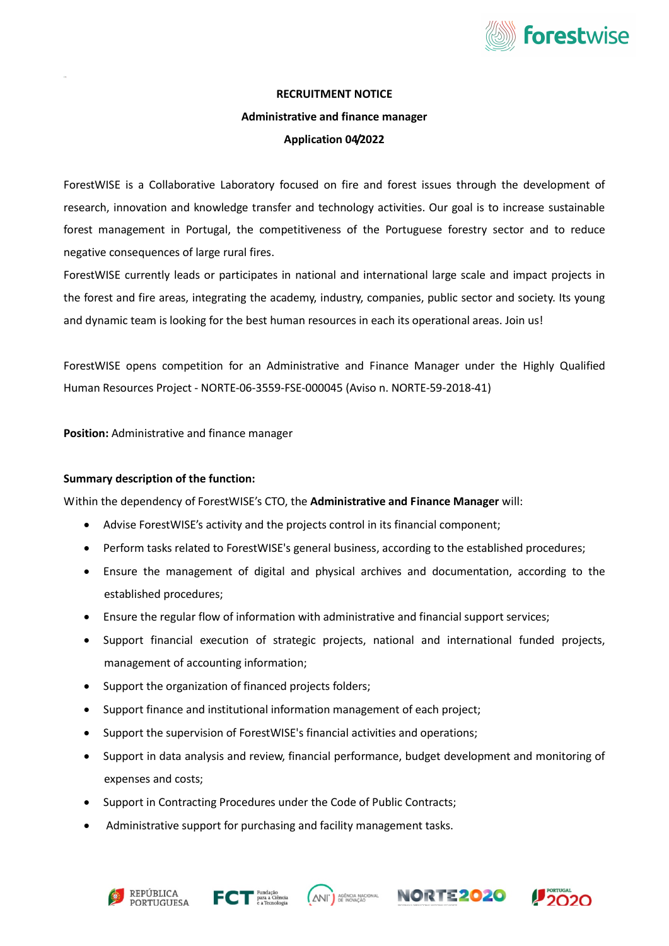

#### RECRUITMENT NOTICE

# Administrative and finance manager

# Application 04/2022

ForestWISE is a Collaborative Laboratory focused on fire and forest issues through the development of research, innovation and knowledge transfer and technology activities. Our goal is to increase sustainable forest management in Portugal, the competitiveness of the Portuguese forestry sector and to reduce negative consequences of large rural fires.

ForestWISE currently leads or participates in national and international large scale and impact projects in the forest and fire areas, integrating the academy, industry, companies, public sector and society. Its young and dynamic team is looking for the best human resources in each its operational areas. Join us!

ForestWISE opens competition for an Administrative and Finance Manager under the Highly Qualified Human Resources Project - NORTE-06-3559-FSE-000045 (Aviso n. NORTE-59-2018-41)

Position: Administrative and finance manager

# Summary description of the function:

Within the dependency of ForestWISE's CTO, the Administrative and Finance Manager will:

- Advise ForestWISE's activity and the projects control in its financial component;
- Perform tasks related to ForestWISE's general business, according to the established procedures;
- Ensure the management of digital and physical archives and documentation, according to the established procedures;
- Ensure the regular flow of information with administrative and financial support services;
- Support financial execution of strategic projects, national and international funded projects, management of accounting information;
- Support the organization of financed projects folders;
- Support finance and institutional information management of each project;
- Support the supervision of ForestWISE's financial activities and operations;
- Support in data analysis and review, financial performance, budget development and monitoring of expenses and costs;
- Support in Contracting Procedures under the Code of Public Contracts;
- Administrative support for purchasing and facility management tasks.









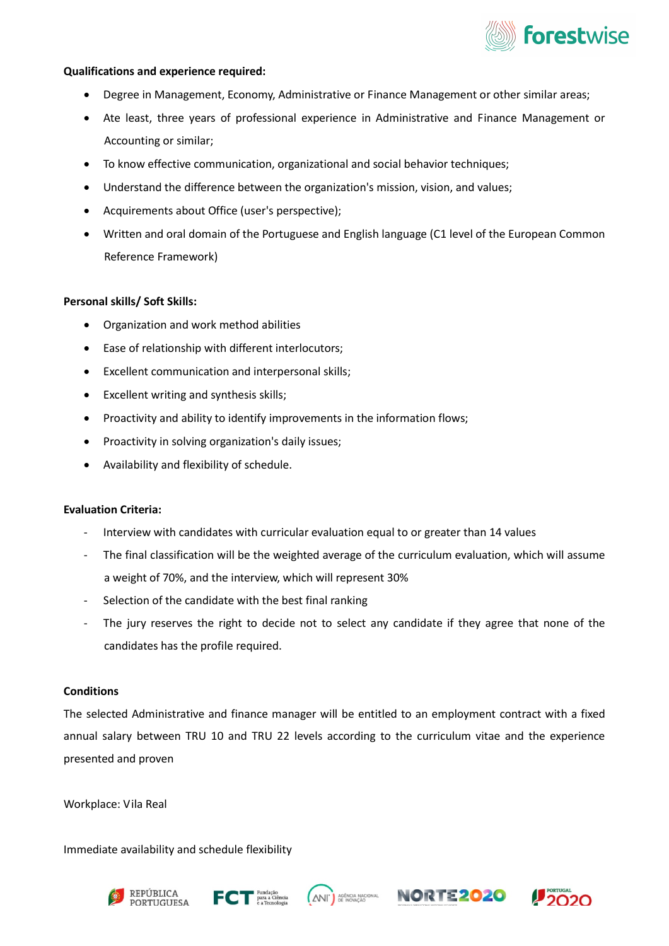

# Qualifications and experience required:

- Degree in Management, Economy, Administrative or Finance Management or other similar areas;
- Ate least, three years of professional experience in Administrative and Finance Management or Accounting or similar;
- To know effective communication, organizational and social behavior techniques;
- Understand the difference between the organization's mission, vision, and values;
- Acquirements about Office (user's perspective);
- Written and oral domain of the Portuguese and English language (C1 level of the European Common Reference Framework)

### Personal skills/ Soft Skills:

- Organization and work method abilities
- Ease of relationship with different interlocutors;
- Excellent communication and interpersonal skills;
- Excellent writing and synthesis skills;
- Proactivity and ability to identify improvements in the information flows;
- Proactivity in solving organization's daily issues;
- Availability and flexibility of schedule.

## Evaluation Criteria:

- Interview with candidates with curricular evaluation equal to or greater than 14 values
- The final classification will be the weighted average of the curriculum evaluation, which will assume a weight of 70%, and the interview, which will represent 30%
- Selection of the candidate with the best final ranking
- The jury reserves the right to decide not to select any candidate if they agree that none of the candidates has the profile required.

#### **Conditions**

The selected Administrative and finance manager will be entitled to an employment contract with a fixed annual salary between TRU 10 and TRU 22 levels according to the curriculum vitae and the experience presented and proven

Workplace: Vila Real

Immediate availability and schedule flexibility